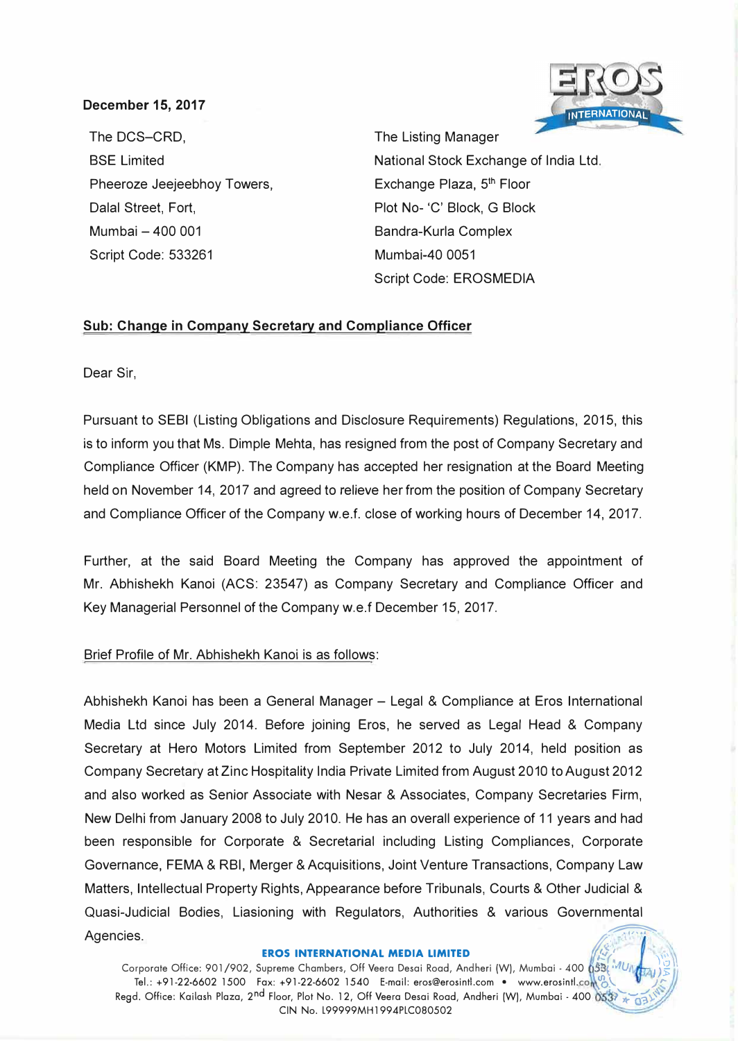# **December 15, 2017**

The DCS-CRD, SSE Limited Pheeroze Jeejeebhoy Towers, Dalal Street, Fort, Mumbai - 400 001 Script Code: 533261

**INTERNATIONAL** 

The Listing Manager National Stock Exchange of India Ltd. Exchange Plaza, 5<sup>th</sup> Floor Plot No- 'C' Block, G Block Bandra-Kurla Complex Mumbai-40 0051 Script Code: EROSMEDIA

## **Sub: Change in Company Secretary and Compliance Officer**

Dear Sir,

Pursuant to SEBI (Listing Obligations and Disclosure Requirements) Regulations, 2015, this is to inform you that Ms. Dimple Mehta, has resigned from the post of Company Secretary and Compliance Officer (KMP). The Company has accepted her resignation at the Board Meeting held on November 14, 2017 and agreed to relieve her from the position of Company Secretary and Compliance Officer of the Company w.e.f. close of working hours of December 14, 2017.

Further, at the said Board Meeting the Company has approved the appointment of Mr. Abhishekh Kanoi (ACS: 23547) as Company Secretary and Compliance Officer and Key Managerial Personnel of the Company w.e.f December 15, 2017.

## Brief Profile of Mr. Abhishekh Kanoi is as follows:

Abhishekh Kanoi has been a General Manager - Legal & Compliance at Eros International Media Ltd since July 2014. Before joining Eros, he served as Legal Head & Company Secretary at Hero Motors Limited from September 2012 to July 2014, held position as Company Secretary at Zinc Hospitality India Private Limited from August 2010 to August 2012 and also worked as Senior Associate with Nesar & Associates, Company Secretaries Firm, New Delhi from January 2008 to July 2010. He has an overall experience of 11 years and had been responsible for Corporate & Secretarial including Listing Compliances, Corporate Governance, FEMA & RBI, Merger & Acquisitions, Joint Venture Transactions, Company Law Matters, Intellectual Property Rights, Appearance before Tribunals, Courts & Other Judicial & Quasi-Judicial Bodies, Liasioning with Regulators, Authorities & various Governmental Agencies.  $\sqrt{1 + \frac{1}{2} \left( \frac{1}{2} \right)^2 + \cdots}$ 

**EROS INTERNATIONAL MEDIA LIMITED**<br>Corporate Office: 901/902, Supreme Chambers, Off Veera Desai Road, Andheri (W), Mumbai - 400 053;<br>Tel.: +91-22-6602 1500 Fax: +91-22-6602 1540 E-mail: eros@erosintl.com • www.erosintl.co Regd. Office: Kailash Plaza, 2<sup>nd</sup> Floor, Plot No. 12, Off Veera Desai Road, Andheri (W), Mumbai - 400  $3*037$ CIN No. L99999MH1994PLC080502